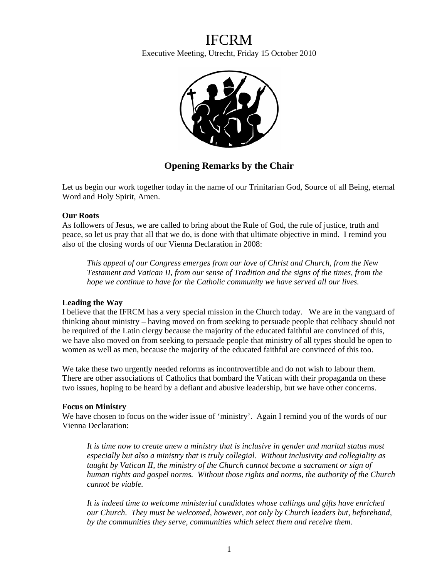# IFCRM

Executive Meeting, Utrecht, Friday 15 October 2010



# **Opening Remarks by the Chair**

Let us begin our work together today in the name of our Trinitarian God, Source of all Being, eternal Word and Holy Spirit, Amen.

# **Our Roots**

As followers of Jesus, we are called to bring about the Rule of God, the rule of justice, truth and peace, so let us pray that all that we do, is done with that ultimate objective in mind. I remind you also of the closing words of our Vienna Declaration in 2008:

*This appeal of our Congress emerges from our love of Christ and Church, from the New Testament and Vatican II, from our sense of Tradition and the signs of the times, from the hope we continue to have for the Catholic community we have served all our lives.* 

## **Leading the Way**

I believe that the IFRCM has a very special mission in the Church today. We are in the vanguard of thinking about ministry – having moved on from seeking to persuade people that celibacy should not be required of the Latin clergy because the majority of the educated faithful are convinced of this, we have also moved on from seeking to persuade people that ministry of all types should be open to women as well as men, because the majority of the educated faithful are convinced of this too.

We take these two urgently needed reforms as incontrovertible and do not wish to labour them. There are other associations of Catholics that bombard the Vatican with their propaganda on these two issues, hoping to be heard by a defiant and abusive leadership, but we have other concerns.

## **Focus on Ministry**

We have chosen to focus on the wider issue of 'ministry'. Again I remind you of the words of our Vienna Declaration:

*It is time now to create anew a ministry that is inclusive in gender and marital status most especially but also a ministry that is truly collegial. Without inclusivity and collegiality as taught by Vatican II, the ministry of the Church cannot become a sacrament or sign of human rights and gospel norms. Without those rights and norms, the authority of the Church cannot be viable.* 

*It is indeed time to welcome ministerial candidates whose callings and gifts have enriched our Church. They must be welcomed, however, not only by Church leaders but, beforehand, by the communities they serve, communities which select them and receive them.*